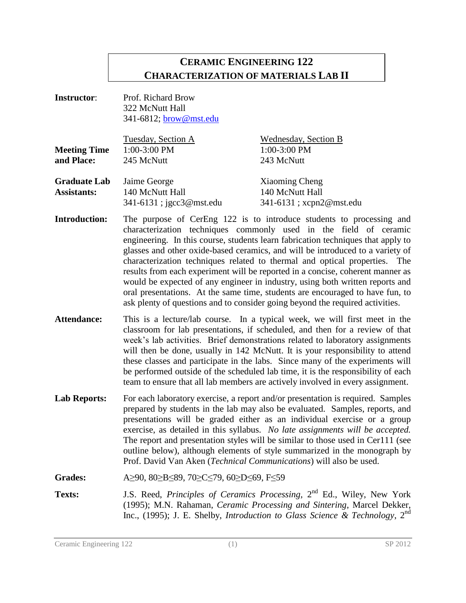# **CERAMIC ENGINEERING 122 CHARACTERIZATION OF MATERIALS LAB II**

| <b>Instructor:</b>                        | Prof. Richard Brow<br>322 McNutt Hall<br>341-6812; brow@mst.edu    |                                                                                                                                                                                                                                                                                                                                                                                                                                                                                                                                                                                                                                                                                                                                    |
|-------------------------------------------|--------------------------------------------------------------------|------------------------------------------------------------------------------------------------------------------------------------------------------------------------------------------------------------------------------------------------------------------------------------------------------------------------------------------------------------------------------------------------------------------------------------------------------------------------------------------------------------------------------------------------------------------------------------------------------------------------------------------------------------------------------------------------------------------------------------|
| <b>Meeting Time</b><br>and Place:         | Tuesday, Section A<br>1:00-3:00 PM<br>245 McNutt                   | Wednesday, Section B<br>1:00-3:00 PM<br>243 McNutt                                                                                                                                                                                                                                                                                                                                                                                                                                                                                                                                                                                                                                                                                 |
| <b>Graduate Lab</b><br><b>Assistants:</b> | Jaime George<br>140 McNutt Hall<br>341-6131; jgcc3@mst.edu         | <b>Xiaoming Cheng</b><br>140 McNutt Hall<br>341-6131; xcpn2@mst.edu                                                                                                                                                                                                                                                                                                                                                                                                                                                                                                                                                                                                                                                                |
| <b>Introduction:</b>                      |                                                                    | The purpose of CerEng 122 is to introduce students to processing and<br>characterization techniques commonly used in the field of ceramic<br>engineering. In this course, students learn fabrication techniques that apply to<br>glasses and other oxide-based ceramics, and will be introduced to a variety of<br>characterization techniques related to thermal and optical properties. The<br>results from each experiment will be reported in a concise, coherent manner as<br>would be expected of any engineer in industry, using both written reports and<br>oral presentations. At the same time, students are encouraged to have fun, to<br>ask plenty of questions and to consider going beyond the required activities. |
| <b>Attendance:</b>                        |                                                                    | This is a lecture/lab course. In a typical week, we will first meet in the<br>classroom for lab presentations, if scheduled, and then for a review of that<br>week's lab activities. Brief demonstrations related to laboratory assignments<br>will then be done, usually in 142 McNutt. It is your responsibility to attend<br>these classes and participate in the labs. Since many of the experiments will<br>be performed outside of the scheduled lab time, it is the responsibility of each<br>team to ensure that all lab members are actively involved in every assignment.                                                                                                                                                |
| <b>Lab Reports:</b>                       | Prof. David Van Aken (Technical Communications) will also be used. | For each laboratory exercise, a report and/or presentation is required. Samples<br>prepared by students in the lab may also be evaluated. Samples, reports, and<br>presentations will be graded either as an individual exercise or a group<br>exercise, as detailed in this syllabus. No late assignments will be accepted.<br>The report and presentation styles will be similar to those used in Cer111 (see<br>outline below), although elements of style summarized in the monograph by                                                                                                                                                                                                                                       |
| <b>Grades:</b>                            | A≥90, 80≥B≤89, 70≥C≤79, 60≥D≤69, F≤59                              |                                                                                                                                                                                                                                                                                                                                                                                                                                                                                                                                                                                                                                                                                                                                    |
| <b>Texts:</b>                             |                                                                    | J.S. Reed, Principles of Ceramics Processing, 2 <sup>nd</sup> Ed., Wiley, New York<br>(1995); M.N. Rahaman, <i>Ceramic Processing and Sintering</i> , Marcel Dekker,<br>Inc., (1995); J. E. Shelby, Introduction to Glass Science & Technology, 2 <sup>nd</sup>                                                                                                                                                                                                                                                                                                                                                                                                                                                                    |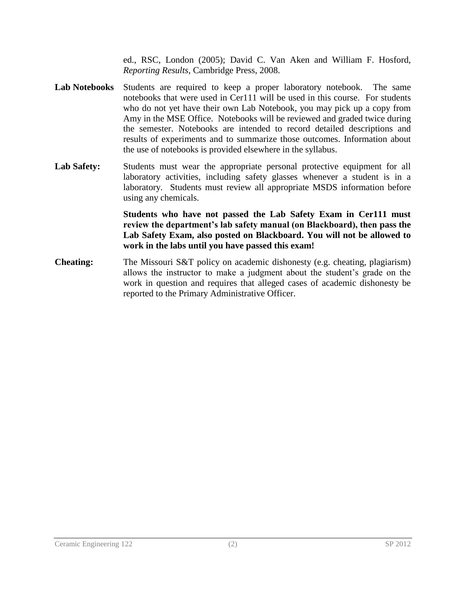ed., RSC, London (2005); David C. Van Aken and William F. Hosford, *Reporting Results*, Cambridge Press, 2008.

- **Lab Notebooks** Students are required to keep a proper laboratory notebook. The same notebooks that were used in Cer111 will be used in this course. For students who do not yet have their own Lab Notebook, you may pick up a copy from Amy in the MSE Office. Notebooks will be reviewed and graded twice during the semester. Notebooks are intended to record detailed descriptions and results of experiments and to summarize those outcomes. Information about the use of notebooks is provided elsewhere in the syllabus.
- Lab Safety: Students must wear the appropriate personal protective equipment for all laboratory activities, including safety glasses whenever a student is in a laboratory. Students must review all appropriate MSDS information before using any chemicals.

**Students who have not passed the Lab Safety Exam in Cer111 must review the department's lab safety manual (on Blackboard), then pass the Lab Safety Exam, also posted on Blackboard. You will not be allowed to work in the labs until you have passed this exam!**

**Cheating:** The Missouri S&T policy on academic dishonesty (e.g. cheating, plagiarism) allows the instructor to make a judgment about the student's grade on the work in question and requires that alleged cases of academic dishonesty be reported to the Primary Administrative Officer.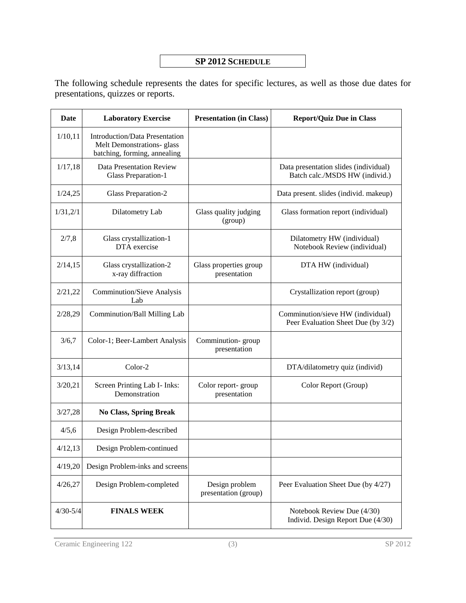#### **SP 2012 SCHEDULE**

The following schedule represents the dates for specific lectures, as well as those due dates for presentations, quizzes or reports.

| Date         | <b>Laboratory Exercise</b>                                                                          | <b>Presentation (in Class)</b>         | <b>Report/Quiz Due in Class</b>                                         |
|--------------|-----------------------------------------------------------------------------------------------------|----------------------------------------|-------------------------------------------------------------------------|
| 1/10, 11     | <b>Introduction/Data Presentation</b><br>Melt Demonstrations- glass<br>batching, forming, annealing |                                        |                                                                         |
| 1/17,18      | <b>Data Presentation Review</b><br><b>Glass Preparation-1</b>                                       |                                        | Data presentation slides (individual)<br>Batch calc./MSDS HW (individ.) |
| 1/24,25      | <b>Glass Preparation-2</b>                                                                          |                                        | Data present. slides (individ. makeup)                                  |
| 1/31,2/1     | Dilatometry Lab                                                                                     | Glass quality judging<br>(group)       | Glass formation report (individual)                                     |
| 2/7,8        | Glass crystallization-1<br>DTA exercise                                                             |                                        | Dilatometry HW (individual)<br>Notebook Review (individual)             |
| 2/14,15      | Glass crystallization-2<br>x-ray diffraction                                                        | Glass properties group<br>presentation | DTA HW (individual)                                                     |
| 2/21,22      | <b>Comminution/Sieve Analysis</b><br>Lab                                                            |                                        | Crystallization report (group)                                          |
| 2/28,29      | Comminution/Ball Milling Lab                                                                        |                                        | Comminution/sieve HW (individual)<br>Peer Evaluation Sheet Due (by 3/2) |
| 3/6,7        | Color-1; Beer-Lambert Analysis                                                                      | Comminution-group<br>presentation      |                                                                         |
| 3/13,14      | Color-2                                                                                             |                                        | DTA/dilatometry quiz (individ)                                          |
| 3/20,21      | Screen Printing Lab I- Inks:<br>Demonstration                                                       | Color report-group<br>presentation     | Color Report (Group)                                                    |
| 3/27,28      | <b>No Class, Spring Break</b>                                                                       |                                        |                                                                         |
| 4/5,6        | Design Problem-described                                                                            |                                        |                                                                         |
| 4/12,13      | Design Problem-continued                                                                            |                                        |                                                                         |
| 4/19,20      | Design Problem-inks and screens                                                                     |                                        |                                                                         |
| 4/26,27      | Design Problem-completed                                                                            | Design problem<br>presentation (group) | Peer Evaluation Sheet Due (by 4/27)                                     |
| $4/30 - 5/4$ | <b>FINALS WEEK</b>                                                                                  |                                        | Notebook Review Due (4/30)<br>Individ. Design Report Due (4/30)         |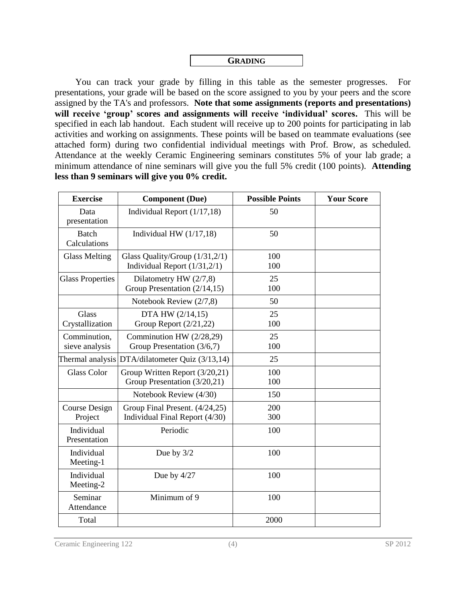

You can track your grade by filling in this table as the semester progresses. For presentations, your grade will be based on the score assigned to you by your peers and the score assigned by the TA's and professors. **Note that some assignments (reports and presentations) will receive 'group' scores and assignments will receive 'individual' scores.** This will be specified in each lab handout. Each student will receive up to 200 points for participating in lab activities and working on assignments. These points will be based on teammate evaluations (see attached form) during two confidential individual meetings with Prof. Brow, as scheduled. Attendance at the weekly Ceramic Engineering seminars constitutes 5% of your lab grade; a minimum attendance of nine seminars will give you the full 5% credit (100 points). **Attending less than 9 seminars will give you 0% credit.**

| <b>Exercise</b>                | <b>Component</b> (Due)                                              | <b>Possible Points</b> | <b>Your Score</b> |
|--------------------------------|---------------------------------------------------------------------|------------------------|-------------------|
| Data<br>presentation           | Individual Report $(1/17, 18)$                                      | 50                     |                   |
| <b>Batch</b><br>Calculations   | Individual HW $(1/17,18)$                                           | 50                     |                   |
| <b>Glass Melting</b>           | Glass Quality/Group $(1/31, 2/1)$<br>Individual Report $(1/31,2/1)$ | 100<br>100             |                   |
| <b>Glass Properties</b>        | Dilatometry HW $(2/7,8)$<br>Group Presentation (2/14,15)            | 25<br>100              |                   |
|                                | Notebook Review (2/7,8)                                             | 50                     |                   |
| Glass<br>Crystallization       | DTA HW (2/14,15)<br>Group Report $(2/21, 22)$                       | 25<br>100              |                   |
| Comminution,<br>sieve analysis | Comminution HW (2/28,29)<br>Group Presentation (3/6,7)              | 25<br>100              |                   |
| Thermal analysis               | DTA/dilatometer Quiz (3/13,14)                                      | 25                     |                   |
| <b>Glass Color</b>             | Group Written Report (3/20,21)<br>Group Presentation (3/20,21)      | 100<br>100             |                   |
|                                | Notebook Review (4/30)                                              | 150                    |                   |
| Course Design<br>Project       | Group Final Present. (4/24,25)<br>Individual Final Report (4/30)    | 200<br>300             |                   |
| Individual<br>Presentation     | Periodic                                                            | 100                    |                   |
| Individual<br>Meeting-1        | Due by $3/2$                                                        | 100                    |                   |
| Individual<br>Meeting-2        | Due by $4/27$                                                       | 100                    |                   |
| Seminar<br>Attendance          | Minimum of 9                                                        | 100                    |                   |
| Total                          |                                                                     | 2000                   |                   |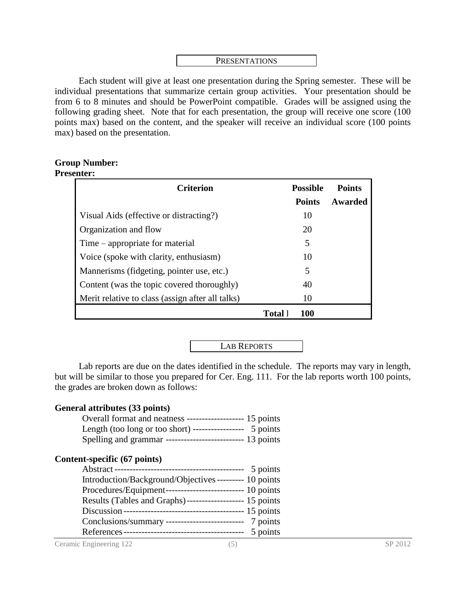#### PRESENTATIONS

Each student will give at least one presentation during the Spring semester. These will be individual presentations that summarize certain group activities. Your presentation should be from 6 to 8 minutes and should be PowerPoint compatible. Grades will be assigned using the following grading sheet. Note that for each presentation, the group will receive one score (100 points max) based on the content, and the speaker will receive an individual score (100 points max) based on the presentation.

#### **Group Number: Presenter:**

| <b>Criterion</b>                                 |                | <b>Possible</b> | <b>Points</b> |
|--------------------------------------------------|----------------|-----------------|---------------|
|                                                  |                | <b>Points</b>   | Awarded       |
| Visual Aids (effective or distracting?)          |                | 10              |               |
| Organization and flow                            |                | 20              |               |
| Time – appropriate for material                  |                | 5               |               |
| Voice (spoke with clarity, enthusiasm)           |                | 10              |               |
| Mannerisms (fidgeting, pointer use, etc.)        |                | 5               |               |
| Content (was the topic covered thoroughly)       |                | 40              |               |
| Merit relative to class (assign after all talks) |                | 10              |               |
|                                                  | <b>Total</b> l | 100             |               |

LAB REPORTS

Lab reports are due on the dates identified in the schedule. The reports may vary in length, but will be similar to those you prepared for Cer. Eng. 111. For the lab reports worth 100 points, the grades are broken down as follows:

#### **General attributes (33 points)**

| Overall format and neatness --------------------- 15 points  |          |
|--------------------------------------------------------------|----------|
| Length (too long or too short) ------------------            | 5 points |
| Spelling and grammar ----------------------------- 13 points |          |

#### **Content-specific (67 points)**

|                                                           | 5 points |
|-----------------------------------------------------------|----------|
| Introduction/Background/Objectives --------- 10 points    |          |
| Procedures/Equipment--------------------------- 10 points |          |
| Results (Tables and Graphs)-------------------- 15 points |          |
|                                                           |          |
| Conclusions/summary ---------------------------- 7 points |          |
|                                                           | 5 points |

Ceramic Engineering 122 (5) SP 2012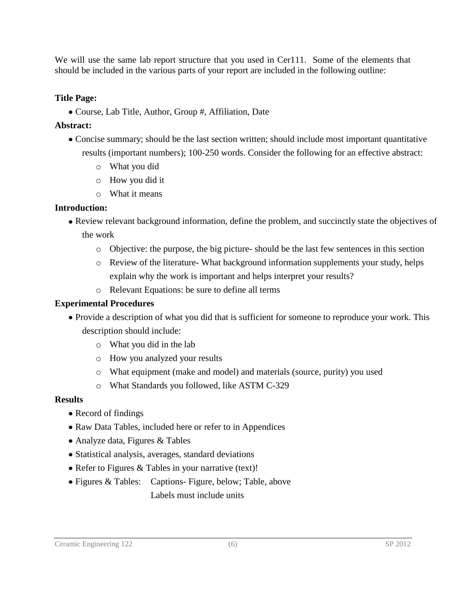We will use the same lab report structure that you used in Cer111. Some of the elements that should be included in the various parts of your report are included in the following outline:

#### **Title Page:**

• Course, Lab Title, Author, Group #, Affiliation, Date

### **Abstract:**

- Concise summary; should be the last section written; should include most important quantitative results (important numbers); 100-250 words. Consider the following for an effective abstract:
	- o What you did
	- o How you did it
	- o What it means

## **Introduction:**

- Review relevant background information, define the problem, and succinctly state the objectives of the work
	- o Objective: the purpose, the big picture- should be the last few sentences in this section
	- o Review of the literature- What background information supplements your study, helps explain why the work is important and helps interpret your results?
	- o Relevant Equations: be sure to define all terms

## **Experimental Procedures**

- Provide a description of what you did that is sufficient for someone to reproduce your work. This description should include:
	- o What you did in the lab
	- o How you analyzed your results
	- o What equipment (make and model) and materials (source, purity) you used
	- o What Standards you followed, like ASTM C-329

#### **Results**

- Record of findings
- Raw Data Tables, included here or refer to in Appendices
- Analyze data, Figures & Tables
- Statistical analysis, averages, standard deviations
- Refer to Figures & Tables in your narrative (text)!
- Figures & Tables: Captions- Figure, below; Table, above Labels must include units

#### Ceramic Engineering 122 (6) SP 2012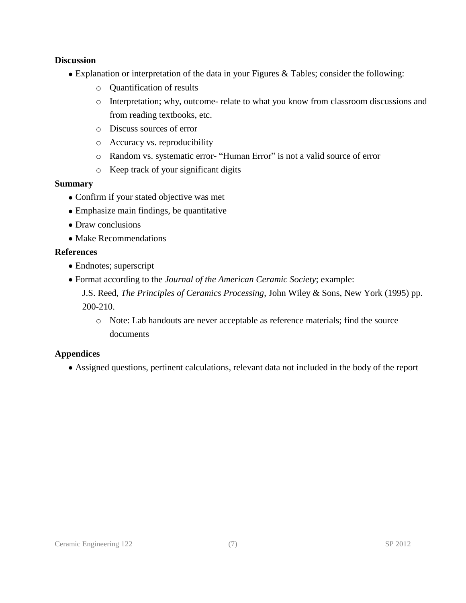#### **Discussion**

- Explanation or interpretation of the data in your Figures & Tables; consider the following:
	- o Quantification of results
	- o Interpretation; why, outcome- relate to what you know from classroom discussions and from reading textbooks, etc.
	- o Discuss sources of error
	- o Accuracy vs. reproducibility
	- o Random vs. systematic error- "Human Error" is not a valid source of error
	- o Keep track of your significant digits

#### **Summary**

- Confirm if your stated objective was met
- Emphasize main findings, be quantitative
- Draw conclusions
- Make Recommendations

#### **References**

- Endnotes; superscript
- Format according to the *Journal of the American Ceramic Society*; example:

J.S. Reed, *The Principles of Ceramics Processing*, John Wiley & Sons, New York (1995) pp. 200-210.

o Note: Lab handouts are never acceptable as reference materials; find the source documents

#### **Appendices**

Assigned questions, pertinent calculations, relevant data not included in the body of the report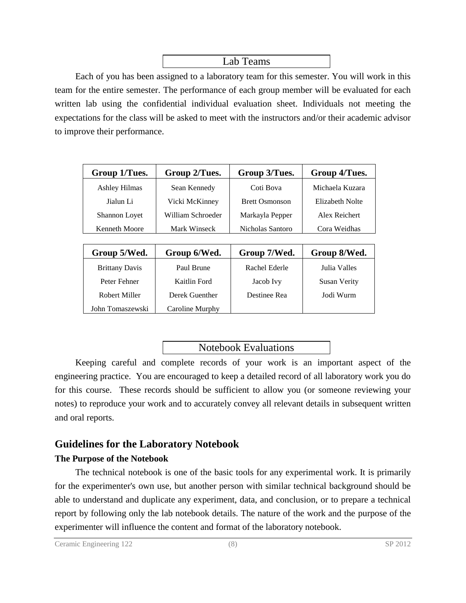## Lab Teams

Each of you has been assigned to a laboratory team for this semester. You will work in this team for the entire semester. The performance of each group member will be evaluated for each written lab using the confidential individual evaluation sheet. Individuals not meeting the expectations for the class will be asked to meet with the instructors and/or their academic advisor to improve their performance.

| Group 1/Tues.        | Group 2/Tues.     | Group 3/Tues.         | Group 4/Tues.   |
|----------------------|-------------------|-----------------------|-----------------|
| <b>Ashley Hilmas</b> | Sean Kennedy      | Coti Bova             | Michaela Kuzara |
| Jialun Li            | Vicki McKinney    | <b>Brett Osmonson</b> | Elizabeth Nolte |
| <b>Shannon Loyet</b> | William Schroeder | Markayla Pepper       | Alex Reichert   |
| <b>Kenneth Moore</b> | Mark Winseck      | Nicholas Santoro      | Cora Weidhas    |

| Group 5/Wed.          | Group 6/Wed.    | Group 7/Wed.  | Group 8/Wed.        |
|-----------------------|-----------------|---------------|---------------------|
| <b>Brittany Davis</b> | Paul Brune      | Rachel Ederle | Julia Valles        |
| Peter Fehner          | Kaitlin Ford    | Jacob Ivy     | <b>Susan Verity</b> |
| Robert Miller         | Derek Guenther  | Destinee Rea  | Jodi Wurm           |
| John Tomaszewski      | Caroline Murphy |               |                     |

## Notebook Evaluations

Keeping careful and complete records of your work is an important aspect of the engineering practice. You are encouraged to keep a detailed record of all laboratory work you do for this course. These records should be sufficient to allow you (or someone reviewing your notes) to reproduce your work and to accurately convey all relevant details in subsequent written and oral reports.

# **Guidelines for the Laboratory Notebook**

#### **The Purpose of the Notebook**

The technical notebook is one of the basic tools for any experimental work. It is primarily for the experimenter's own use, but another person with similar technical background should be able to understand and duplicate any experiment, data, and conclusion, or to prepare a technical report by following only the lab notebook details. The nature of the work and the purpose of the experimenter will influence the content and format of the laboratory notebook.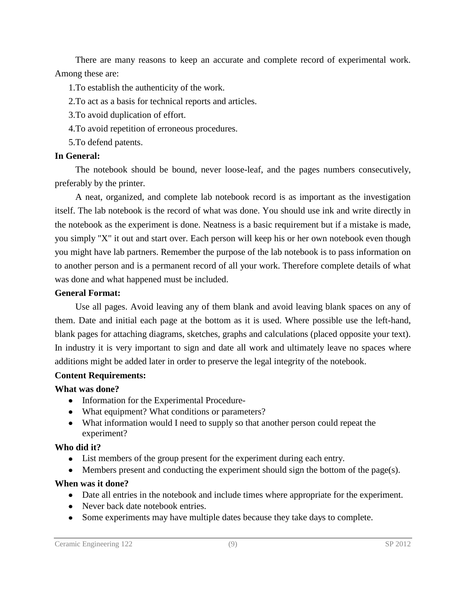There are many reasons to keep an accurate and complete record of experimental work. Among these are:

1.To establish the authenticity of the work.

2.To act as a basis for technical reports and articles.

3.To avoid duplication of effort.

4.To avoid repetition of erroneous procedures.

5.To defend patents.

### **In General:**

The notebook should be bound, never loose-leaf, and the pages numbers consecutively, preferably by the printer.

A neat, organized, and complete lab notebook record is as important as the investigation itself. The lab notebook is the record of what was done. You should use ink and write directly in the notebook as the experiment is done. Neatness is a basic requirement but if a mistake is made, you simply "X" it out and start over. Each person will keep his or her own notebook even though you might have lab partners. Remember the purpose of the lab notebook is to pass information on to another person and is a permanent record of all your work. Therefore complete details of what was done and what happened must be included.

### **General Format:**

Use all pages. Avoid leaving any of them blank and avoid leaving blank spaces on any of them. Date and initial each page at the bottom as it is used. Where possible use the left-hand, blank pages for attaching diagrams, sketches, graphs and calculations (placed opposite your text). In industry it is very important to sign and date all work and ultimately leave no spaces where additions might be added later in order to preserve the legal integrity of the notebook.

## **Content Requirements:**

## **What was done?**

- Information for the Experimental Procedure-
- What equipment? What conditions or parameters?
- What information would I need to supply so that another person could repeat the experiment?

## **Who did it?**

- List members of the group present for the experiment during each entry.
- $\bullet$  Members present and conducting the experiment should sign the bottom of the page(s).

# **When was it done?**

- Date all entries in the notebook and include times where appropriate for the experiment.
- Never back date notebook entries.
- Some experiments may have multiple dates because they take days to complete.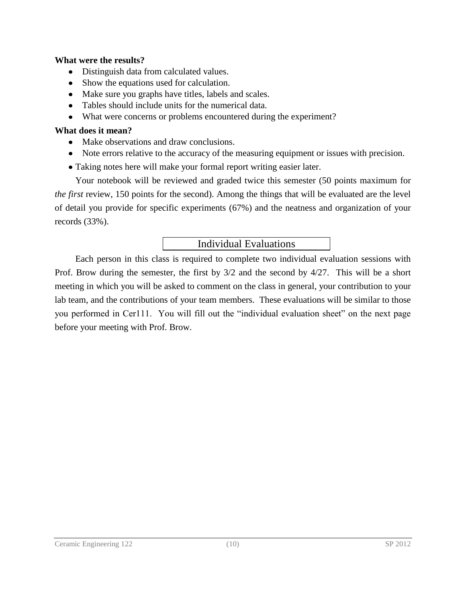#### **What were the results?**

- Distinguish data from calculated values.
- Show the equations used for calculation.
- Make sure you graphs have titles, labels and scales.
- Tables should include units for the numerical data.
- What were concerns or problems encountered during the experiment?

#### **What does it mean?**

- Make observations and draw conclusions.
- Note errors relative to the accuracy of the measuring equipment or issues with precision.
- Taking notes here will make your formal report writing easier later.

Your notebook will be reviewed and graded twice this semester (50 points maximum for *the first* review, 150 points for the second). Among the things that will be evaluated are the level of detail you provide for specific experiments (67%) and the neatness and organization of your records (33%).

## Individual Evaluations

Each person in this class is required to complete two individual evaluation sessions with Prof. Brow during the semester, the first by 3/2 and the second by 4/27. This will be a short meeting in which you will be asked to comment on the class in general, your contribution to your lab team, and the contributions of your team members. These evaluations will be similar to those you performed in Cer111. You will fill out the "individual evaluation sheet" on the next page before your meeting with Prof. Brow.